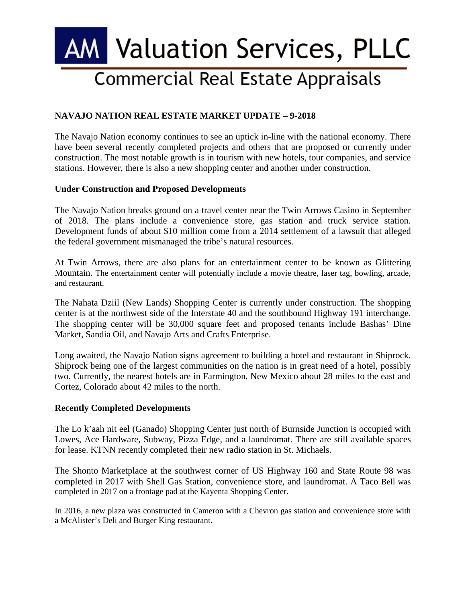# **AM Valuation Services, PLLC Commercial Real Estate Appraisals**

## **NAVAJO NATION REAL ESTATE MARKET UPDATE – 9-2018**

The Navajo Nation economy continues to see an uptick in-line with the national economy. There have been several recently completed projects and others that are proposed or currently under construction. The most notable growth is in tourism with new hotels, tour companies, and service stations. However, there is also a new shopping center and another under construction.

### **Under Construction and Proposed Developments**

The Navajo Nation breaks ground on a travel center near the Twin Arrows Casino in September of 2018. The plans include a convenience store, gas station and truck service station. Development funds of about \$10 million come from a 2014 settlement of a lawsuit that alleged the federal government mismanaged the tribe's natural resources.

At Twin Arrows, there are also plans for an entertainment center to be known as Glittering Mountain. The entertainment center will potentially include a movie theatre, laser tag, bowling, arcade, and restaurant.

The Nahata Dziil (New Lands) Shopping Center is currently under construction. The shopping center is at the northwest side of the Interstate 40 and the southbound Highway 191 interchange. The shopping center will be 30,000 square feet and proposed tenants include Bashas' Dine Market, Sandia Oil, and Navajo Arts and Crafts Enterprise.

Long awaited, the Navajo Nation signs agreement to building a hotel and restaurant in Shiprock. Shiprock being one of the largest communities on the nation is in great need of a hotel, possibly two. Currently, the nearest hotels are in Farmington, New Mexico about 28 miles to the east and Cortez, Colorado about 42 miles to the north.

### **Recently Completed Developments**

The Lo k'aah nit eel (Ganado) Shopping Center just north of Burnside Junction is occupied with Lowes, Ace Hardware, Subway, Pizza Edge, and a laundromat. There are still available spaces for lease. KTNN recently completed their new radio station in St. Michaels.

The Shonto Marketplace at the southwest corner of US Highway 160 and State Route 98 was completed in 2017 with Shell Gas Station, convenience store, and laundromat. A Taco Bell was completed in 2017 on a frontage pad at the Kayenta Shopping Center.

In 2016, a new plaza was constructed in Cameron with a Chevron gas station and convenience store with a McAlister's Deli and Burger King restaurant.